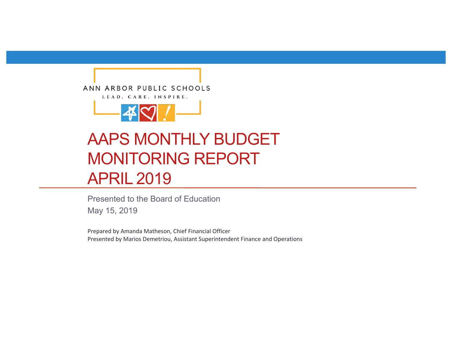



# AAPS MONTHLY BUDGET MONITORING REPORT APRIL 2019

Presented to the Board of Education

May 15, 2019

Prepared by Amanda Matheson, Chief Financial Officer Presented by Marios Demetriou, Assistant Superintendent Finance and Operations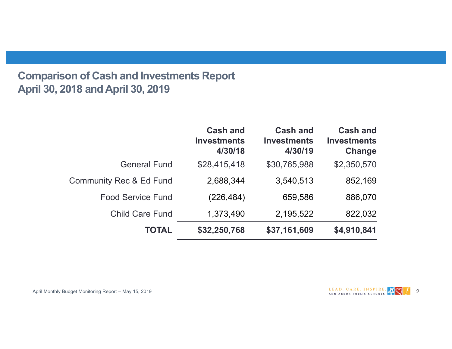# **Comparison of Cash and Investments Report April 30, 2018 and April 30, 2019**

|                                    | <b>Cash and</b><br><b>Investments</b><br>4/30/18 | <b>Cash and</b><br><b>Investments</b><br>4/30/19 | <b>Cash and</b><br><b>Investments</b><br>Change |
|------------------------------------|--------------------------------------------------|--------------------------------------------------|-------------------------------------------------|
| <b>General Fund</b>                | \$28,415,418                                     | \$30,765,988                                     | \$2,350,570                                     |
| <b>Community Rec &amp; Ed Fund</b> | 2,688,344                                        | 3,540,513                                        | 852,169                                         |
| <b>Food Service Fund</b>           | (226, 484)                                       | 659,586                                          | 886,070                                         |
| <b>Child Care Fund</b>             | 1,373,490                                        | 2,195,522                                        | 822,032                                         |
| <b>TOTAL</b>                       | \$32,250,768                                     | \$37,161,609                                     | \$4,910,841                                     |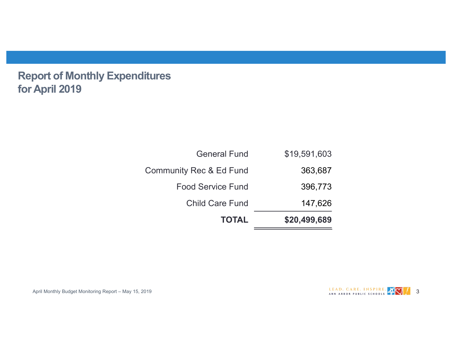**Report of Monthly Expenditures for April 2019**

| <b>TOTAL</b>                       | \$20,499,689 |
|------------------------------------|--------------|
| <b>Child Care Fund</b>             | 147,626      |
| <b>Food Service Fund</b>           | 396,773      |
| <b>Community Rec &amp; Ed Fund</b> | 363,687      |
| <b>General Fund</b>                | \$19,591,603 |

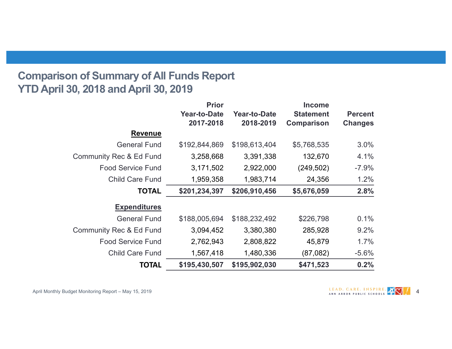# **Comparison of Summary of All Funds Report YTD April 30, 2018 and April 30, 2019**

|                                    | <b>Prior</b>        | <b>Income</b>       |                   |                |
|------------------------------------|---------------------|---------------------|-------------------|----------------|
|                                    | <b>Year-to-Date</b> | <b>Year-to-Date</b> | <b>Statement</b>  | <b>Percent</b> |
|                                    | 2017-2018           | 2018-2019           | <b>Comparison</b> | <b>Changes</b> |
| <b>Revenue</b>                     |                     |                     |                   |                |
| <b>General Fund</b>                | \$192,844,869       | \$198,613,404       | \$5,768,535       | 3.0%           |
| <b>Community Rec &amp; Ed Fund</b> | 3,258,668           | 3,391,338           | 132,670           | 4.1%           |
| <b>Food Service Fund</b>           | 3,171,502           | 2,922,000           | (249, 502)        | $-7.9%$        |
| <b>Child Care Fund</b>             | 1,959,358           | 1,983,714           | 24,356            | 1.2%           |
| <b>TOTAL</b>                       | \$201,234,397       | \$206,910,456       | \$5,676,059       | 2.8%           |
| <b>Expenditures</b>                |                     |                     |                   |                |
| <b>General Fund</b>                | \$188,005,694       | \$188,232,492       | \$226,798         | 0.1%           |
| <b>Community Rec &amp; Ed Fund</b> | 3,094,452           | 3,380,380           | 285,928           | 9.2%           |
| <b>Food Service Fund</b>           | 2,762,943           | 2,808,822           | 45,879            | 1.7%           |
| <b>Child Care Fund</b>             | 1,567,418           | 1,480,336           | (87,082)          | $-5.6%$        |
| <b>TOTAL</b>                       | \$195,430,507       | \$195,902,030       | \$471,523         | 0.2%           |

April Monthly Budget Monitoring Report – May 15, 2019 4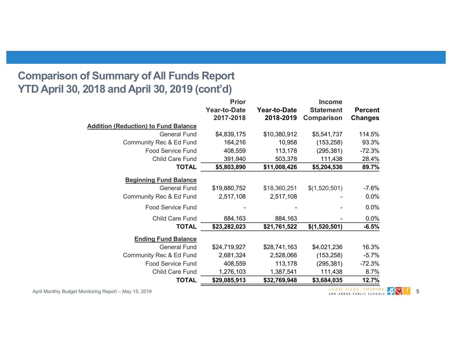# **Comparison of Summary of All Funds Report YTD April 30, 2018 and April 30, 2019 (cont'd)**

|                                             | <b>Prior</b>        |                     | <b>Income</b>     |                |
|---------------------------------------------|---------------------|---------------------|-------------------|----------------|
|                                             | <b>Year-to-Date</b> | <b>Year-to-Date</b> | <b>Statement</b>  | <b>Percent</b> |
|                                             | 2017-2018           | 2018-2019           | <b>Comparison</b> | <b>Changes</b> |
| <b>Addition (Reduction) to Fund Balance</b> |                     |                     |                   |                |
| <b>General Fund</b>                         | \$4,839,175         | \$10,380,912        | \$5,541,737       | 114.5%         |
| Community Rec & Ed Fund                     | 164,216             | 10,958              | (153, 258)        | 93.3%          |
| <b>Food Service Fund</b>                    | 408,559             | 113,178             | (295, 381)        | $-72.3%$       |
| Child Care Fund                             | 391,940             | 503,378             | 111,438           | 28.4%          |
| <b>TOTAL</b>                                | \$5,803,890         | \$11,008,426        | \$5,204,536       | 89.7%          |
| <b>Beginning Fund Balance</b>               |                     |                     |                   |                |
| <b>General Fund</b>                         | \$19,880,752        | \$18,360,251        | \$(1,520,501)     | $-7.6%$        |
| Community Rec & Ed Fund                     | 2,517,108           | 2,517,108           |                   | 0.0%           |
|                                             |                     |                     |                   |                |
| <b>Food Service Fund</b>                    |                     |                     |                   | 0.0%           |
| <b>Child Care Fund</b>                      | 884,163             | 884,163             |                   | 0.0%           |
| <b>TOTAL</b>                                | \$23,282,023        | \$21,761,522        | \$(1,520,501)     | $-6.5%$        |
| <b>Ending Fund Balance</b>                  |                     |                     |                   |                |
| <b>General Fund</b>                         | \$24,719,927        | \$28,741,163        | \$4,021,236       | 16.3%          |
| Community Rec & Ed Fund                     | 2,681,324           | 2,528,066           | (153, 258)        | $-5.7%$        |
| <b>Food Service Fund</b>                    | 408,559             | 113,178             | (295, 381)        | $-72.3%$       |
| Child Care Fund                             | 1,276,103           | 1,387,541           | 111,438           | 8.7%           |
| <b>TOTAL</b>                                | \$29,085,913        | \$32,769,948        | \$3,684,035       | 12.7%          |

April Monthly Budget Monitoring Report – May 15, 2019 **19 September 2018** 2019 The September 2018 2019 19:30 ANN ARBOR PUBLIC SCHOOLS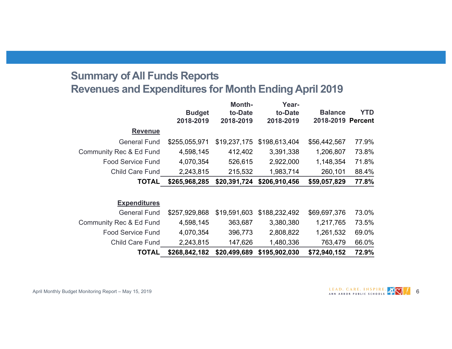# **Summary of All Funds Reports Revenues and Expenditures for Month Ending April 2019**

|                                    | <b>Budget</b><br>2018-2019 | <b>Month-</b><br>to-Date<br>2018-2019 | Year-<br>to-Date<br>2018-2019 | <b>Balance</b><br>2018-2019 | <b>YTD</b><br><b>Percent</b> |
|------------------------------------|----------------------------|---------------------------------------|-------------------------------|-----------------------------|------------------------------|
| <b>Revenue</b>                     |                            |                                       |                               |                             |                              |
| <b>General Fund</b>                | \$255,055,971              | \$19,237,175                          | \$198,613,404                 | \$56,442,567                | 77.9%                        |
| <b>Community Rec &amp; Ed Fund</b> | 4,598,145                  | 412,402                               | 3,391,338                     | 1,206,807                   | 73.8%                        |
| <b>Food Service Fund</b>           | 4,070,354                  | 526,615                               | 2,922,000                     | 1,148,354                   | 71.8%                        |
| <b>Child Care Fund</b>             | 2,243,815                  | 215,532                               | 1,983,714                     | 260,101                     | 88.4%                        |
| <b>TOTAL</b>                       | \$265,968,285              | \$20,391,724                          | \$206,910,456                 | \$59,057,829                | 77.8%                        |
|                                    |                            |                                       |                               |                             |                              |
| <b>Expenditures</b>                |                            |                                       |                               |                             |                              |
| <b>General Fund</b>                | \$257,929,868              | \$19,591,603                          | \$188,232,492                 | \$69,697,376                | 73.0%                        |
| <b>Community Rec &amp; Ed Fund</b> | 4,598,145                  | 363,687                               | 3,380,380                     | 1,217,765                   | 73.5%                        |
| <b>Food Service Fund</b>           | 4,070,354                  | 396,773                               | 2,808,822                     | 1,261,532                   | 69.0%                        |
| <b>Child Care Fund</b>             | 2,243,815                  | 147,626                               | 1,480,336                     | 763,479                     | 66.0%                        |
| <b>TOTAL</b>                       | \$268,842,182              | \$20,499,689                          | \$195,902,030                 | \$72,940,152                | 72.9%                        |